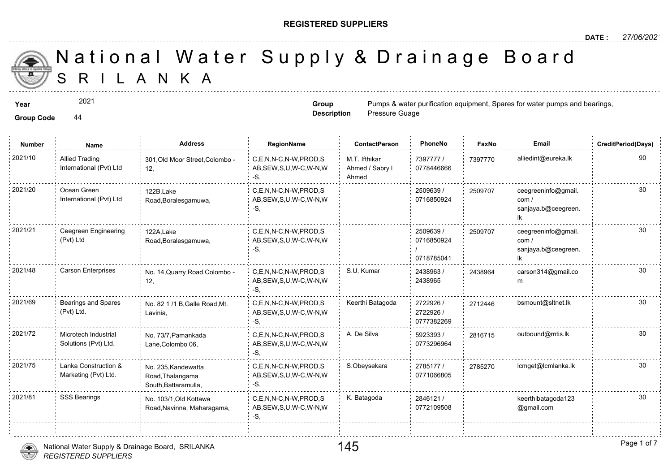### **REGISTERED SUPPLIERS**

**Group Description**

Pressure Guage

A N K A National Water Supply & Drainage

**Year** Pumps & water purification equipment, Spares for water purification equipment, Spares for water purification equipment, Spares for water purification equipment, Spares for water purification equipment, Spares for wa

2021

**Group Code** 44

**Number Name Address RegionName ContactPerson PhoneNo FaxNo Email CreditPeriod(Days)** 7397777 / 73977 0778446666 M.T. Ifthikar Ahmed / Sabry l Ahmed C,E,N,N-C,N-W,PROD,S AB,SEW,S,U,W-C,W-N,W -S, 2021/10 Allied Trading 301,Old Moor Street,Colombo - C,E,N,N-C,N-W,PROD,S M.T. Ifthikar 7397777 / 739777 12, Allied Trading International (Pvt) Ltd 2509639 / 0716850924 C,E,N,N-C,N-W,PROD,S 2021/20 ceegreeninfo@gmail. AB,SEW,S,U,W-C,W-N,W -S, 122B,Lake Road,Boralesgamuwa, Ocean Green International (Pvt) Ltd 250970 2509639 / 0716850924 / 0718785041 2021/21 Ceegreen Engineering 122A Lake C,E,N,N-C,N-W,PROD,S 2509639 (2509639 / 250970 AB,SEW,S,U,W-C,W-N,W -S, 122A,Lake Road,Boralesgamuwa, Ceegreen Engineering (Pvt) Ltd 250970 2438963 / 243896 2438965 C,E,N,N-C,N-W,PROD,S S.U. Kumar AB,SEW,S,U,W-C,W-N,W -S, 2021/48 Carson Enterprises No. 14,Quarry Road,Colombo C,E,N,N-C,N-W,PROD,S S.U. Kumar 2438963 / 2438963 / 24389 12, 243896 2722926 / 271244 2722926 / 0777382269 C,E,N,N-C,N-W,PROD,S Keerthi Batagoda AB,SEW,S,U,W-C,W-N,W -S, 2021/69 Bearings and Spares No. 82 1 /1 B,Galle Road,Mt. C,E,N,N-C,N-W,PROD,S Reerthi Batagoda 2722926 / 271244 Lavinia, Bearings and Spares (Pvt) Ltd. 5923393 / 30 0773296964 2021/72 : Microtech Industrial No. 73/7,Pamankada : C,E,N,N-C,N-W,PROD,S A. De Silva : 5923393 / 281671 AB,SEW,S,U,W-C,W-N,W -S, No. 73/7,Pamankada Lane,Colombo 06, Microtech Industrial Solutions (Pvt) Ltd. 2785177 / 27852 0771066805 2021/75 Lanka Construction & No. 235,Kandewatta C,E,N,N-C,N-W,PROD,S S.Obeysekara 2785177 / 278527 AB,SEW,S,U,W-C,W-N,W -S, No. 235,Kandewatta Road,Thalangama South,Battaramulla, Lanka Construction & Marketing (Pvt) Ltd. 2846121 / 0772109508 C,E,N,N-C,N-W,PROD,S K. Batagoda 2021/81 SSS Bearings keerthibatagoda123 AB,SEW,S,U,W-C,W-N,W -S, No. 103/1,Old Kottawa Road,Navinna, Maharagama,



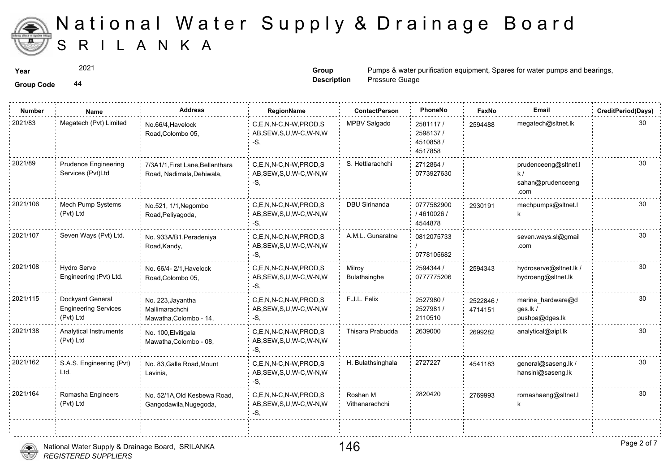

2021

**Group Code** 44

**Group Description**

| <b>Number</b> | Name                                                         | <b>Address</b>                                                | RegionName                                                   | <b>ContactPerson</b>       | PhoneNo                                      | Faxl             |
|---------------|--------------------------------------------------------------|---------------------------------------------------------------|--------------------------------------------------------------|----------------------------|----------------------------------------------|------------------|
| 2021/83       | Megatech (Pvt) Limited                                       | No.66/4, Havelock<br>Road, Colombo 05,                        | C,E,N,N-C,N-W,PROD,S<br>AB, SEW, S, U, W-C, W-N, W<br>$-S.$  | MPBV Salgado               | 2581117/<br>2598137/<br>4510858 /<br>4517858 | 259448           |
| 2021/89       | <b>Prudence Engineering</b><br>Services (Pvt)Ltd             | 7/3A1/1, First Lane, Bellanthara<br>Road, Nadimala, Dehiwala, | C,E,N,N-C,N-W,PROD,S<br>AB, SEW, S, U, W-C, W-N, W<br>-S.    | S. Hettiarachchi           | 2712864 /<br>0773927630                      |                  |
| 2021/106      | <b>Mech Pump Systems</b><br>(Pvt) Ltd                        | No.521, 1/1, Negombo<br>Road, Peliyagoda,                     | C.E.N.N-C.N-W.PROD.S<br>AB, SEW, S, U, W-C, W-N, W<br>$-S,$  | <b>DBU Sirinanda</b>       | 0777582900<br>/4610026/<br>4544878           | 293019           |
| 2021/107      | Seven Ways (Pvt) Ltd.                                        | No. 933A/B1, Peradeniya<br>Road, Kandy,                       | C,E,N,N-C,N-W,PROD,S<br>AB, SEW, S, U, W-C, W-N, W<br>-S,    | A.M.L. Gunaratne           | 0812075733<br>0778105682                     |                  |
| 2021/108      | Hydro Serve<br>Engineering (Pvt) Ltd.                        | No. 66/4-2/1, Havelock<br>Road, Colombo 05,                   | C,E,N,N-C,N-W,PROD,S<br>AB, SEW, S, U, W-C, W-N, W<br>-S.    | Milroy<br>Bulathsinghe     | 2594344 /<br>0777775206                      | 259434           |
| 2021/115      | Dockyard General<br><b>Engineering Services</b><br>(Pvt) Ltd | No. 223, Jayantha<br>Mallimarachchi<br>Mawatha, Colombo - 14, | C,E,N,N-C,N-W,PROD,S<br>AB, SEW, S, U, W-C, W-N, W<br>-S,    | F.J.L. Felix               | 2527980 /<br>2527981/<br>2110510             | 252284<br>471415 |
| 2021/138      | Analytical Instruments<br>(Pvt) Ltd                          | No. 100, Elvitigala<br>Mawatha, Colombo - 08,                 | C,E,N,N-C,N-W,PROD,S<br>AB, SEW, S, U, W-C, W-N, W<br>$-S$ . | Thisara Prabudda           | 2639000                                      | 269928           |
| 2021/162      | S.A.S. Engineering (Pvt)<br>Ltd.                             | No. 83, Galle Road, Mount<br>Lavinia,                         | C,E,N,N-C,N-W,PROD,S<br>AB, SEW, S, U, W-C, W-N, W<br>$-S,$  | H. Bulathsinghala          | 2727227                                      | 454118           |
| 2021/164      | Romasha Engineers<br>(Pvt) Ltd                               | No. 52/1A, Old Kesbewa Road,<br>Gangodawila, Nugegoda,        | C,E,N,N-C,N-W,PROD,S<br>AB, SEW, S, U, W-C, W-N, W<br>$-S,$  | Roshan M<br>Vithanarachchi | 2820420                                      | 276999           |
|               |                                                              |                                                               |                                                              |                            |                                              |                  |

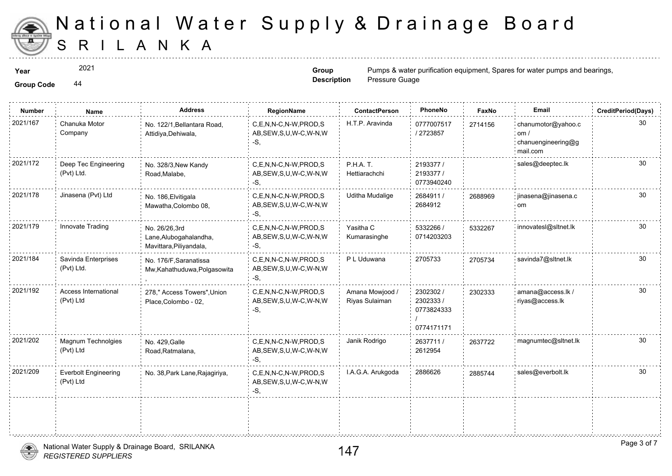

2021

**Group Code** 44

**Group Description**

| <b>Group Code</b> |  |
|-------------------|--|
|                   |  |

| <b>Number</b> | Name                                     | <b>Address</b>                                                     | RegionName                                                   | <b>ContactPerson</b>              | PhoneNo                                            | Faxl   |
|---------------|------------------------------------------|--------------------------------------------------------------------|--------------------------------------------------------------|-----------------------------------|----------------------------------------------------|--------|
| 2021/167      | Chanuka Motor<br>Company                 | No. 122/1, Bellantara Road,<br>Attidiya, Dehiwala,                 | C,E,N,N-C,N-W,PROD,S<br>AB, SEW, S, U, W-C, W-N, W<br>$-S$ . | H.T.P. Aravinda                   | 0777007517<br>/2723857                             | 271415 |
| 2021/172      | Deep Tec Engineering<br>(Pvt) Ltd.       | No. 328/3, New Kandy<br>Road, Malabe,                              | C,E,N,N-C,N-W,PROD,S<br>AB, SEW, S, U, W-C, W-N, W<br>$-S$ . | <b>P.H.A. T.</b><br>Hettiarachchi | 2193377 /<br>2193377 /<br>0773940240               |        |
| 2021/178      | Jinasena (Pvt) Ltd                       | No. 186, Elvitigala<br>Mawatha, Colombo 08,                        | C,E,N,N-C,N-W,PROD,S<br>AB, SEW, S, U, W-C, W-N, W<br>-S.    | <b>Uditha Mudalige</b>            | 2684911 /<br>2684912                               | 268896 |
| 2021/179      | Innovate Trading                         | No. 26/26,3rd<br>Lane, Alubogahalandha,<br>Mavittara, Piliyandala, | C,E,N,N-C,N-W,PROD,S<br>AB, SEW, S, U, W-C, W-N, W<br>$-S,$  | Yasitha C<br>Kumarasinghe         | 5332266 /<br>0714203203                            | 533226 |
| 2021/184      | Savinda Enterprises<br>(Pvt) Ltd.        | No. 176/F, Saranatissa<br>Mw, Kahathuduwa, Polgasowita             | C,E,N,N-C,N-W,PROD,S<br>AB, SEW, S, U, W-C, W-N, W<br>-S,    | P L Uduwana                       | 2705733                                            | 270573 |
| 2021/192      | <b>Access International</b><br>(Pvt) Ltd | 278," Access Towers", Union<br>Place, Colombo - 02,                | C,E,N,N-C,N-W,PROD,S<br>AB, SEW, S, U, W-C, W-N, W<br>-S,    | Amana Mowjood /<br>Riyas Sulaiman | 2302302 /<br>2302333 /<br>0773824333<br>0774171171 | 230233 |
| 2021/202      | Magnum Technolgies<br>(Pvt) Ltd          | No. 429, Galle<br>Road, Ratmalana,                                 | C.E.N.N-C.N-W.PROD.S<br>AB, SEW, S, U, W-C, W-N, W<br>$-S,$  | Janik Rodrigo                     | 2637711 /<br>2612954                               | 263772 |
| 2021/209      | <b>Everbolt Engineering</b><br>(Pvt) Ltd | No. 38, Park Lane, Rajagiriya,                                     | C,E,N,N-C,N-W,PROD,S<br>AB, SEW, S, U, W-C, W-N, W<br>$-S$ , | I.A.G.A. Arukgoda                 | 2886626                                            | 288574 |
|               |                                          |                                                                    |                                                              |                                   |                                                    |        |

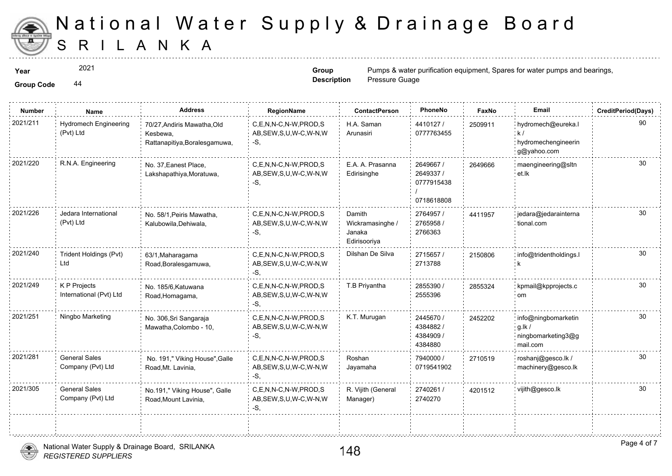

**Group Code** 44 2021

**Group Description**

**Year** Pumps & water purification equipment,  $\frac{2021}{n}$  **Spares For Water purification equipment** Pressure Guage

| <b>Number</b> | Name                                      | <b>Address</b>                                                           | RegionName                                                   | <b>ContactPerson</b>                                 | PhoneNo                                            | Faxl   |
|---------------|-------------------------------------------|--------------------------------------------------------------------------|--------------------------------------------------------------|------------------------------------------------------|----------------------------------------------------|--------|
| 2021/211      | <b>Hydromech Engineering</b><br>(Pvt) Ltd | 70/27, Andiris Mawatha, Old<br>Kesbewa,<br>Rattanapitiya, Boralesgamuwa, | C,E,N,N-C,N-W,PROD,S<br>AB, SEW, S, U, W-C, W-N, W<br>$-S$ . | H.A. Saman<br>Arunasiri                              | 4410127 /<br>0777763455                            | 250991 |
| 2021/220      | R.N.A. Engineering                        | No. 37, Eanest Place,<br>Lakshapathiya, Moratuwa,                        | C,E,N,N-C,N-W,PROD,S<br>AB, SEW, S, U, W-C, W-N, W<br>-S.    | E.A. A. Prasanna<br>Edirisinghe                      | 2649667 /<br>2649337 /<br>0777915438<br>0718618808 | 264966 |
| 2021/226      | Jedara International<br>(Pvt) Ltd         | No. 58/1, Peiris Mawatha,<br>Kalubowila, Dehiwala,                       | C.E.N.N-C.N-W.PROD.S<br>AB, SEW, S, U, W-C, W-N, W<br>-S,    | Damith<br>Wickramasinghe /<br>Janaka<br>Edirisooriya | 2764957 /<br>2765958 /<br>2766363                  | 441195 |
| 2021/240      | Trident Holdings (Pvt)<br>Ltd             | 63/1, Maharagama<br>Road, Boralesgamuwa,                                 | C.E.N.N-C.N-W.PROD.S<br>AB, SEW, S, U, W-C, W-N, W<br>-S,    | Dilshan De Silva                                     | 2715657/<br>2713788                                | 215080 |
| 2021/249      | K P Projects<br>International (Pvt) Ltd   | No. 185/6, Katuwana<br>Road, Homagama,                                   | C,E,N,N-C,N-W,PROD,S<br>AB, SEW, S, U, W-C, W-N, W<br>-S,    | T.B Priyantha                                        | 2855390 /<br>2555396                               | 285532 |
| 2021/251      | Ningbo Marketing                          | No. 306, Sri Sangaraja<br>Mawatha, Colombo - 10,                         | C,E,N,N-C,N-W,PROD,S<br>AB, SEW, S, U, W-C, W-N, W<br>-S.    | K.T. Murugan                                         | 2445670 /<br>4384882/<br>4384909 /<br>4384880      | 245220 |
| 2021/281      | <b>General Sales</b><br>Company (Pvt) Ltd | No. 191," Viking House", Galle<br>Road, Mt. Lavinia,                     | C.E.N.N-C.N-W.PROD.S<br>AB, SEW, S, U, W-C, W-N, W<br>-S.    | Roshan<br>Jayamaha                                   | 7940000 /<br>0719541902                            | 271051 |
| 2021/305      | <b>General Sales</b><br>Company (Pvt) Ltd | No.191," Viking House", Galle<br>Road, Mount Lavinia,                    | C,E,N,N-C,N-W,PROD,S<br>AB, SEW, S, U, W-C, W-N, W<br>-S,    | R. Vijith (General<br>Manager)                       | 2740261/<br>2740270                                | 420151 |
|               |                                           |                                                                          |                                                              |                                                      |                                                    |        |

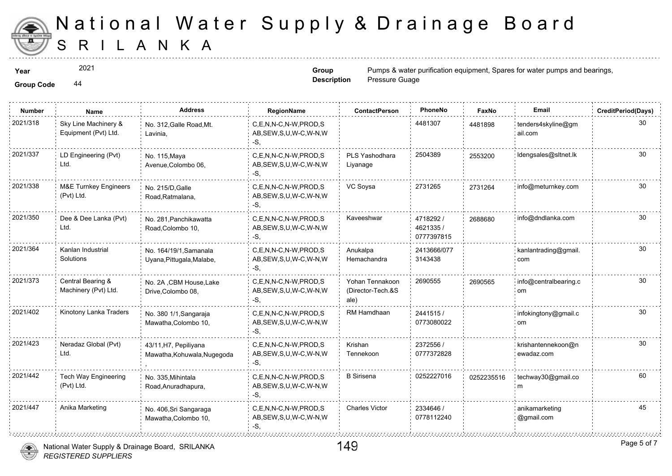

2021

**Group Description**

| <b>Group Code</b> | 44 |
|-------------------|----|
|                   |    |

| 2021/318<br>Sky Line Machinery &<br>4481307<br>C.E.N.N-C.N-W.PROD.S<br>No. 312, Galle Road, Mt.<br>448189<br>Equipment (Pvt) Ltd.<br>AB, SEW, S, U, W-C, W-N, W<br>Lavinia,<br>-S.<br>2021/337<br>2504389<br>LD Engineering (Pvt)<br>C.E.N.N-C.N-W.PROD.S<br>PLS Yashodhara<br>No. 115, Maya<br>255320<br>Ltd.<br>AB, SEW, S, U, W-C, W-N, W<br>Avenue, Colombo 06,<br>Liyanage<br>-S.<br>2021/338<br>2731265<br><b>M&amp;E Turnkey Engineers</b><br>VC Soysa<br>C,E,N,N-C,N-W,PROD,S<br>No. 215/D, Galle<br>273126<br>(Pvt) Ltd.<br>AB, SEW, S, U, W-C, W-N, W<br>Road, Ratmalana,<br>-S.<br>2021/350<br>Dee & Dee Lanka (Pvt)<br>Kaveeshwar<br>C.E.N.N-C.N-W.PROD.S<br>4718292 /<br>No. 281. Panchikawatta<br>268868<br>Ltd.<br>4621335/<br>AB, SEW, S, U, W-C, W-N, W<br>Road, Colombo 10,<br>0777397815<br>$-S,$<br>2021/364<br>Kanlan Industrial<br>C.E.N.N-C.N-W.PROD.S<br>Anukalpa<br>2413666/077<br>No. 164/19/1, Samanala<br>Solutions<br>AB, SEW, S, U, W-C, W-N, W<br>Hemachandra<br>3143438<br>Uyana, Pittugala, Malabe,<br>-S,<br>2021/373<br>Central Bearing &<br>2690555<br>C,E,N,N-C,N-W,PROD,S<br>Yohan Tennakoon<br>No. 2A , CBM House, Lake<br>269056<br>Machinery (Pvt) Ltd.<br>(Director-Tech.&S<br>AB, SEW, S, U, W-C, W-N, W<br>Drive, Colombo 08,<br>-S.<br>ale)<br>2021/402<br>Kinotony Lanka Traders<br>RM Hamdhaan<br>C,E,N,N-C,N-W,PROD,S<br>2441515/<br>No. 380 1/1, Sangaraja<br>AB, SEW, S, U, W-C, W-N, W<br>0773080022<br>Mawatha, Colombo 10,<br>-S,<br>2021/423<br>Neradaz Global (Pvt)<br>C.E.N.N-C.N-W.PROD.S<br>Krishan<br>2372556 /<br>43/11, H7, Pepiliyana<br>Ltd.<br>AB, SEW, S, U, W-C, W-N, W<br>0777372828<br>Mawatha, Kohuwala, Nugegoda<br>Tennekoon<br>-S.<br>2021/442<br><b>B</b> Sirisena<br>0252227016<br>Tech Way Engineering<br>C,E,N,N-C,N-W,PROD,S<br>No. 335, Mihintala<br>025223<br>(Pvt) Ltd.<br>AB, SEW, S, U, W-C, W-N, W<br>Road, Anuradhapura,<br>-S. | <b>Number</b> | Name | <b>Address</b> | RegionName | <b>ContactPerson</b> | PhoneNo | Faxl |
|---------------------------------------------------------------------------------------------------------------------------------------------------------------------------------------------------------------------------------------------------------------------------------------------------------------------------------------------------------------------------------------------------------------------------------------------------------------------------------------------------------------------------------------------------------------------------------------------------------------------------------------------------------------------------------------------------------------------------------------------------------------------------------------------------------------------------------------------------------------------------------------------------------------------------------------------------------------------------------------------------------------------------------------------------------------------------------------------------------------------------------------------------------------------------------------------------------------------------------------------------------------------------------------------------------------------------------------------------------------------------------------------------------------------------------------------------------------------------------------------------------------------------------------------------------------------------------------------------------------------------------------------------------------------------------------------------------------------------------------------------------------------------------------------------------------------------------------------------------------------------------------------------------------------|---------------|------|----------------|------------|----------------------|---------|------|
|                                                                                                                                                                                                                                                                                                                                                                                                                                                                                                                                                                                                                                                                                                                                                                                                                                                                                                                                                                                                                                                                                                                                                                                                                                                                                                                                                                                                                                                                                                                                                                                                                                                                                                                                                                                                                                                                                                                     |               |      |                |            |                      |         |      |
|                                                                                                                                                                                                                                                                                                                                                                                                                                                                                                                                                                                                                                                                                                                                                                                                                                                                                                                                                                                                                                                                                                                                                                                                                                                                                                                                                                                                                                                                                                                                                                                                                                                                                                                                                                                                                                                                                                                     |               |      |                |            |                      |         |      |
|                                                                                                                                                                                                                                                                                                                                                                                                                                                                                                                                                                                                                                                                                                                                                                                                                                                                                                                                                                                                                                                                                                                                                                                                                                                                                                                                                                                                                                                                                                                                                                                                                                                                                                                                                                                                                                                                                                                     |               |      |                |            |                      |         |      |
|                                                                                                                                                                                                                                                                                                                                                                                                                                                                                                                                                                                                                                                                                                                                                                                                                                                                                                                                                                                                                                                                                                                                                                                                                                                                                                                                                                                                                                                                                                                                                                                                                                                                                                                                                                                                                                                                                                                     |               |      |                |            |                      |         |      |
|                                                                                                                                                                                                                                                                                                                                                                                                                                                                                                                                                                                                                                                                                                                                                                                                                                                                                                                                                                                                                                                                                                                                                                                                                                                                                                                                                                                                                                                                                                                                                                                                                                                                                                                                                                                                                                                                                                                     |               |      |                |            |                      |         |      |
|                                                                                                                                                                                                                                                                                                                                                                                                                                                                                                                                                                                                                                                                                                                                                                                                                                                                                                                                                                                                                                                                                                                                                                                                                                                                                                                                                                                                                                                                                                                                                                                                                                                                                                                                                                                                                                                                                                                     |               |      |                |            |                      |         |      |
|                                                                                                                                                                                                                                                                                                                                                                                                                                                                                                                                                                                                                                                                                                                                                                                                                                                                                                                                                                                                                                                                                                                                                                                                                                                                                                                                                                                                                                                                                                                                                                                                                                                                                                                                                                                                                                                                                                                     |               |      |                |            |                      |         |      |
|                                                                                                                                                                                                                                                                                                                                                                                                                                                                                                                                                                                                                                                                                                                                                                                                                                                                                                                                                                                                                                                                                                                                                                                                                                                                                                                                                                                                                                                                                                                                                                                                                                                                                                                                                                                                                                                                                                                     |               |      |                |            |                      |         |      |
|                                                                                                                                                                                                                                                                                                                                                                                                                                                                                                                                                                                                                                                                                                                                                                                                                                                                                                                                                                                                                                                                                                                                                                                                                                                                                                                                                                                                                                                                                                                                                                                                                                                                                                                                                                                                                                                                                                                     |               |      |                |            |                      |         |      |
| 2021/447<br>Anika Marketing<br><b>Charles Victor</b><br>C,E,N,N-C,N-W,PROD,S<br>2334646 /<br>No. 406, Sri Sangaraga<br>0778112240<br>AB, SEW, S, U, W-C, W-N, W<br>Mawatha, Colombo 10,<br>-S,                                                                                                                                                                                                                                                                                                                                                                                                                                                                                                                                                                                                                                                                                                                                                                                                                                                                                                                                                                                                                                                                                                                                                                                                                                                                                                                                                                                                                                                                                                                                                                                                                                                                                                                      |               |      |                |            |                      |         |      |



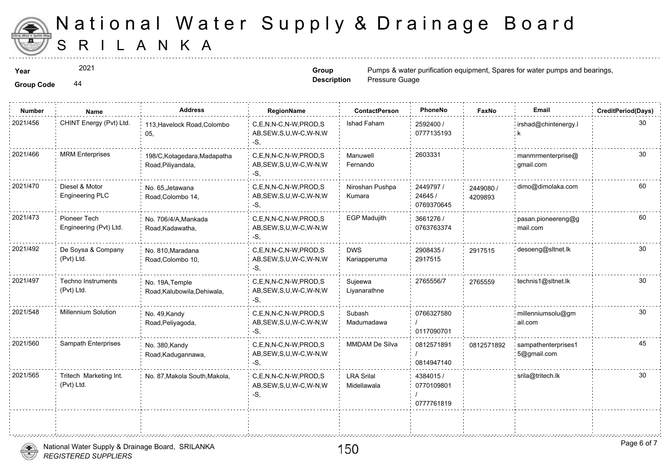

2021

**Group Description**

**Year** Pumps & water purification equipment,  $\frac{2021}{n}$  **Spares For Water purification equipment** Pressure Guage

**Group Code** 44

| <b>Number</b> | Name                                     | <b>Address</b>                                     | RegionName                                                   | <b>ContactPerson</b>             | PhoneNo                               | Faxl             |
|---------------|------------------------------------------|----------------------------------------------------|--------------------------------------------------------------|----------------------------------|---------------------------------------|------------------|
| 2021/456      | CHINT Energy (Pvt) Ltd.                  | 113, Havelock Road, Colombo<br>05,                 | C,E,N,N-C,N-W,PROD,S<br>AB, SEW, S, U, W-C, W-N, W<br>-S,    | Ishad Faham                      | 2592400 /<br>0777135193               |                  |
| 2021/466      | <b>MRM Enterprises</b>                   | 198/C, Kotagedara, Madapatha<br>Road, Piliyandala, | C.E.N.N-C.N-W.PROD.S<br>AB, SEW, S, U, W-C, W-N, W<br>-S,    | Manuwell<br>Fernando             | 2603331                               |                  |
| 2021/470      | Diesel & Motor<br><b>Engineering PLC</b> | No. 65, Jetawana<br>Road, Colombo 14,              | C,E,N,N-C,N-W,PROD,S<br>AB, SEW, S, U, W-C, W-N, W<br>-S,    | Niroshan Pushpa<br>Kumara        | 2449797 /<br>24645 /<br>0769370645    | 244908<br>420989 |
| 2021/473      | Pioneer Tech<br>Engineering (Pvt) Ltd.   | No. 706/4/A, Mankada<br>Road, Kadawatha,           | C.E.N.N-C.N-W.PROD.S<br>AB, SEW, S, U, W-C, W-N, W<br>-S,    | <b>EGP Madujith</b>              | 3661276 /<br>0763763374               |                  |
| 2021/492      | De Soysa & Company<br>(Pvt) Ltd.         | No. 810, Maradana<br>Road, Colombo 10,             | C,E,N,N-C,N-W,PROD,S<br>AB, SEW, S, U, W-C, W-N, W<br>-S.    | <b>DWS</b><br>Kariapperuma       | 2908435 /<br>2917515                  | 291751           |
| 2021/497      | <b>Techno Instruments</b><br>(Pvt) Ltd.  | No. 19A, Temple<br>Road, Kalubowila, Dehiwala,     | C,E,N,N-C,N-W,PROD,S<br>AB, SEW, S, U, W-C, W-N, W<br>-S.    | Sujeewa<br>Livanarathne          | 2765556/7                             | 276555           |
| 2021/548      | <b>Millennium Solution</b>               | No. 49, Kandy<br>Road, Peliyagoda,                 | C,E,N,N-C,N-W,PROD,S<br>AB, SEW, S, U, W-C, W-N, W<br>-S.    | Subash<br>Madumadawa             | 0766327580<br>0117090701              |                  |
| 2021/560      | Sampath Enterprises                      | No. 380, Kandy<br>Road, Kadugannawa,               | C,E,N,N-C,N-W,PROD,S<br>AB, SEW, S, U, W-C, W-N, W<br>$-S$ . | <b>MMDAM De Silva</b>            | 0812571891<br>0814947140              | 081257           |
| 2021/565      | Tritech Marketing Int.<br>(Pvt) Ltd.     | No. 87, Makola South, Makola,                      | C,E,N,N-C,N-W,PROD,S<br>AB, SEW, S, U, W-C, W-N, W<br>$-S,$  | <b>LRA Srilal</b><br>Midellawala | 4384015 /<br>0770109801<br>0777761819 |                  |
|               |                                          |                                                    |                                                              |                                  |                                       |                  |